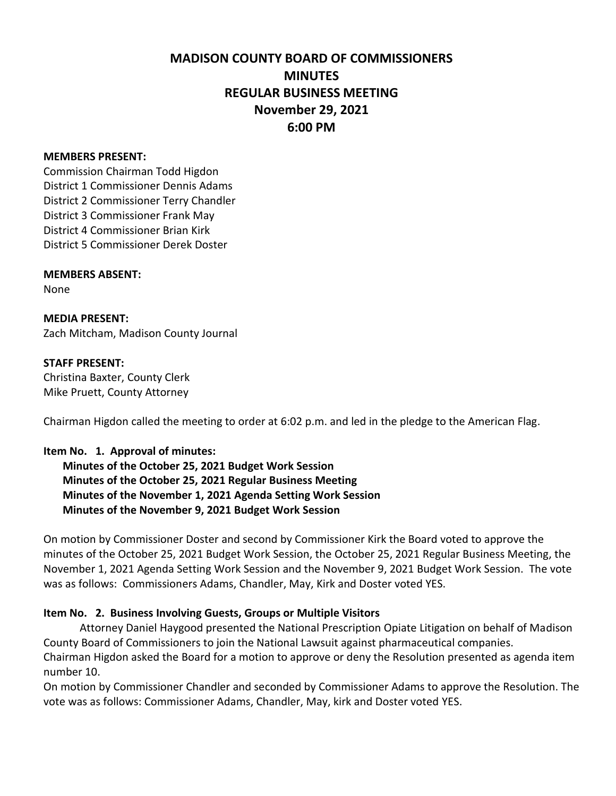# **MADISON COUNTY BOARD OF COMMISSIONERS MINUTES REGULAR BUSINESS MEETING November 29, 2021 6:00 PM**

#### **MEMBERS PRESENT:**

Commission Chairman Todd Higdon District 1 Commissioner Dennis Adams District 2 Commissioner Terry Chandler District 3 Commissioner Frank May District 4 Commissioner Brian Kirk District 5 Commissioner Derek Doster

#### **MEMBERS ABSENT:**

None

**MEDIA PRESENT:** Zach Mitcham, Madison County Journal

#### **STAFF PRESENT:**

Christina Baxter, County Clerk Mike Pruett, County Attorney

Chairman Higdon called the meeting to order at 6:02 p.m. and led in the pledge to the American Flag.

#### **Item No. 1. Approval of minutes:**

 **Minutes of the October 25, 2021 Budget Work Session Minutes of the October 25, 2021 Regular Business Meeting Minutes of the November 1, 2021 Agenda Setting Work Session Minutes of the November 9, 2021 Budget Work Session**

On motion by Commissioner Doster and second by Commissioner Kirk the Board voted to approve the minutes of the October 25, 2021 Budget Work Session, the October 25, 2021 Regular Business Meeting, the November 1, 2021 Agenda Setting Work Session and the November 9, 2021 Budget Work Session. The vote was as follows: Commissioners Adams, Chandler, May, Kirk and Doster voted YES.

#### **Item No. 2. Business Involving Guests, Groups or Multiple Visitors**

Attorney Daniel Haygood presented the National Prescription Opiate Litigation on behalf of Madison County Board of Commissioners to join the National Lawsuit against pharmaceutical companies. Chairman Higdon asked the Board for a motion to approve or deny the Resolution presented as agenda item number 10.

On motion by Commissioner Chandler and seconded by Commissioner Adams to approve the Resolution. The vote was as follows: Commissioner Adams, Chandler, May, kirk and Doster voted YES.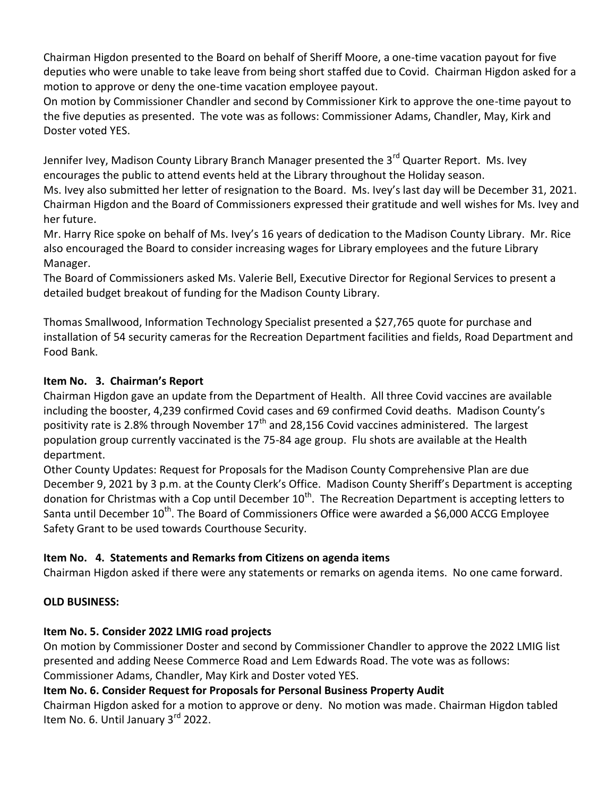Chairman Higdon presented to the Board on behalf of Sheriff Moore, a one-time vacation payout for five deputies who were unable to take leave from being short staffed due to Covid. Chairman Higdon asked for a motion to approve or deny the one-time vacation employee payout.

On motion by Commissioner Chandler and second by Commissioner Kirk to approve the one-time payout to the five deputies as presented. The vote was as follows: Commissioner Adams, Chandler, May, Kirk and Doster voted YES.

Jennifer Ivey, Madison County Library Branch Manager presented the 3<sup>rd</sup> Quarter Report. Ms. Ivey encourages the public to attend events held at the Library throughout the Holiday season.

Ms. Ivey also submitted her letter of resignation to the Board. Ms. Ivey's last day will be December 31, 2021. Chairman Higdon and the Board of Commissioners expressed their gratitude and well wishes for Ms. Ivey and her future.

Mr. Harry Rice spoke on behalf of Ms. Ivey's 16 years of dedication to the Madison County Library. Mr. Rice also encouraged the Board to consider increasing wages for Library employees and the future Library Manager.

The Board of Commissioners asked Ms. Valerie Bell, Executive Director for Regional Services to present a detailed budget breakout of funding for the Madison County Library.

Thomas Smallwood, Information Technology Specialist presented a \$27,765 quote for purchase and installation of 54 security cameras for the Recreation Department facilities and fields, Road Department and Food Bank.

### **Item No. 3. Chairman's Report**

Chairman Higdon gave an update from the Department of Health. All three Covid vaccines are available including the booster, 4,239 confirmed Covid cases and 69 confirmed Covid deaths. Madison County's positivity rate is 2.8% through November  $17<sup>th</sup>$  and 28,156 Covid vaccines administered. The largest population group currently vaccinated is the 75-84 age group. Flu shots are available at the Health department.

Other County Updates: Request for Proposals for the Madison County Comprehensive Plan are due December 9, 2021 by 3 p.m. at the County Clerk's Office. Madison County Sheriff's Department is accepting donation for Christmas with a Cop until December  $10^{th}$ . The Recreation Department is accepting letters to Santa until December  $10^{th}$ . The Board of Commissioners Office were awarded a \$6,000 ACCG Employee Safety Grant to be used towards Courthouse Security.

# **Item No. 4. Statements and Remarks from Citizens on agenda items**

Chairman Higdon asked if there were any statements or remarks on agenda items. No one came forward.

# **OLD BUSINESS:**

# **Item No. 5. Consider 2022 LMIG road projects**

On motion by Commissioner Doster and second by Commissioner Chandler to approve the 2022 LMIG list presented and adding Neese Commerce Road and Lem Edwards Road. The vote was as follows: Commissioner Adams, Chandler, May Kirk and Doster voted YES.

# **Item No. 6. Consider Request for Proposals for Personal Business Property Audit**

Chairman Higdon asked for a motion to approve or deny. No motion was made. Chairman Higdon tabled Item No. 6. Until January 3<sup>rd</sup> 2022.